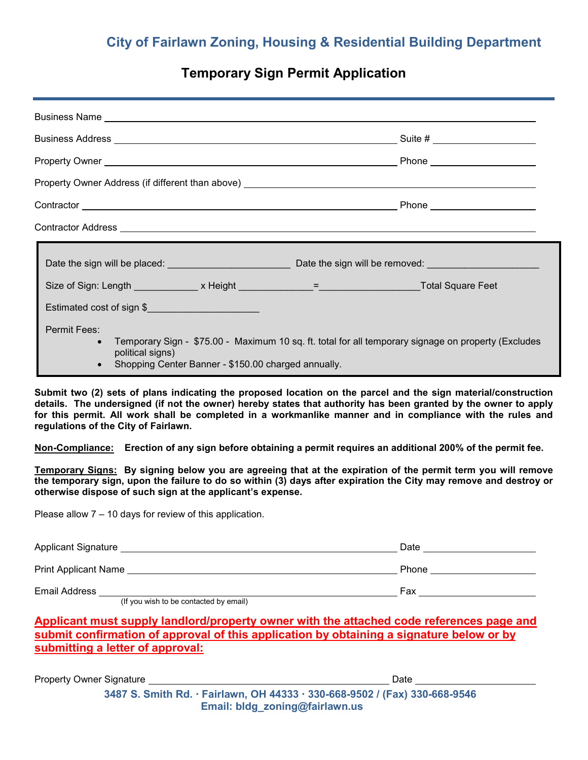# **City of Fairlawn Zoning, Housing & Residential Building Department**

## **Temporary Sign Permit Application**

| Estimated cost of sign \$                                                                                   |                                                                                                       |
|-------------------------------------------------------------------------------------------------------------|-------------------------------------------------------------------------------------------------------|
| <b>Permit Fees:</b><br>political signs)<br>Shopping Center Banner - \$150.00 charged annually.<br>$\bullet$ | • Temporary Sign - \$75.00 - Maximum 10 sq. ft. total for all temporary signage on property (Excludes |

**Submit two (2) sets of plans indicating the proposed location on the parcel and the sign material/construction details. The undersigned (if not the owner) hereby states that authority has been granted by the owner to apply for this permit. All work shall be completed in a workmanlike manner and in compliance with the rules and regulations of the City of Fairlawn.** 

**Non-Compliance: Erection of any sign before obtaining a permit requires an additional 200% of the permit fee.**

**Temporary Signs: By signing below you are agreeing that at the expiration of the permit term you will remove the temporary sign, upon the failure to do so within (3) days after expiration the City may remove and destroy or otherwise dispose of such sign at the applicant's expense.**

Please allow 7 – 10 days for review of this application.

| <b>Applicant Signature</b>                             | Date  |
|--------------------------------------------------------|-------|
| <b>Print Applicant Name</b>                            | Phone |
| <b>Email Address</b><br>$\cdots$<br>.<br>.<br>$\cdots$ | Fax   |

(If you wish to be contacted by email)

### **Applicant must supply landlord/property owner with the attached code references page and submit confirmation of approval of this application by obtaining a signature below or by submitting a letter of approval:**

Property Owner Signature Date